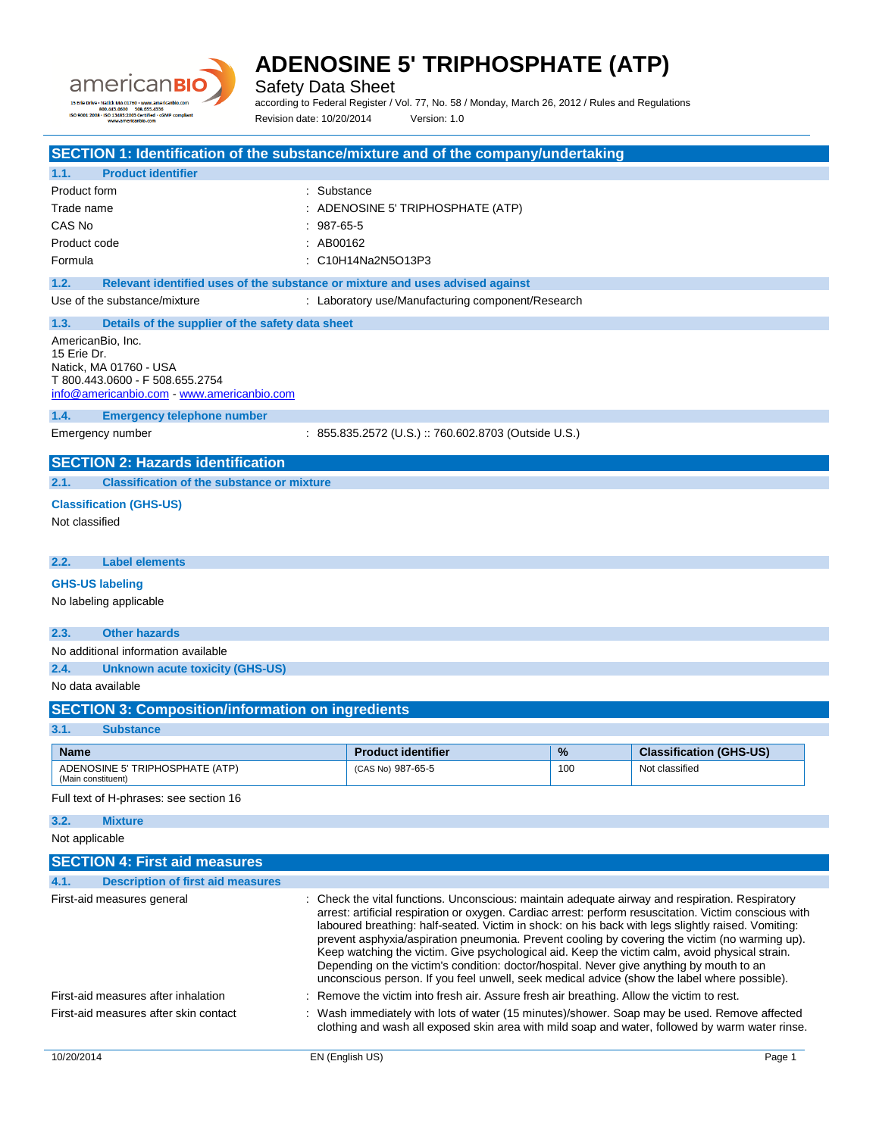

Safety Data Sheet

according to Federal Register / Vol. 77, No. 58 / Monday, March 26, 2012 / Rules and Regulations Revision date: 10/20/2014 Version: 1.0

|                                          |                                                                                                                                                             |             | SECTION 1: Identification of the substance/mixture and of the company/undertaking                                                                                                                                                                                                                                                                                                                                                                                                                                                                                                                                                                                                                               |     |                                |
|------------------------------------------|-------------------------------------------------------------------------------------------------------------------------------------------------------------|-------------|-----------------------------------------------------------------------------------------------------------------------------------------------------------------------------------------------------------------------------------------------------------------------------------------------------------------------------------------------------------------------------------------------------------------------------------------------------------------------------------------------------------------------------------------------------------------------------------------------------------------------------------------------------------------------------------------------------------------|-----|--------------------------------|
| 1.1.                                     | <b>Product identifier</b>                                                                                                                                   |             |                                                                                                                                                                                                                                                                                                                                                                                                                                                                                                                                                                                                                                                                                                                 |     |                                |
| Product form                             |                                                                                                                                                             | : Substance |                                                                                                                                                                                                                                                                                                                                                                                                                                                                                                                                                                                                                                                                                                                 |     |                                |
| Trade name                               |                                                                                                                                                             |             | : ADENOSINE 5' TRIPHOSPHATE (ATP)                                                                                                                                                                                                                                                                                                                                                                                                                                                                                                                                                                                                                                                                               |     |                                |
| CAS No                                   |                                                                                                                                                             | $987-65-5$  |                                                                                                                                                                                                                                                                                                                                                                                                                                                                                                                                                                                                                                                                                                                 |     |                                |
| Product code                             |                                                                                                                                                             | : AB00162   |                                                                                                                                                                                                                                                                                                                                                                                                                                                                                                                                                                                                                                                                                                                 |     |                                |
| Formula                                  |                                                                                                                                                             |             | : C10H14Na2N5O13P3                                                                                                                                                                                                                                                                                                                                                                                                                                                                                                                                                                                                                                                                                              |     |                                |
| 1.2.                                     | Relevant identified uses of the substance or mixture and uses advised against                                                                               |             |                                                                                                                                                                                                                                                                                                                                                                                                                                                                                                                                                                                                                                                                                                                 |     |                                |
|                                          | Use of the substance/mixture                                                                                                                                |             | : Laboratory use/Manufacturing component/Research                                                                                                                                                                                                                                                                                                                                                                                                                                                                                                                                                                                                                                                               |     |                                |
| 1.3.<br>AmericanBio, Inc.<br>15 Erie Dr. | Details of the supplier of the safety data sheet<br>Natick, MA 01760 - USA<br>T 800.443.0600 - F 508.655.2754<br>info@americanbio.com - www.americanbio.com |             |                                                                                                                                                                                                                                                                                                                                                                                                                                                                                                                                                                                                                                                                                                                 |     |                                |
| 1.4.                                     | <b>Emergency telephone number</b>                                                                                                                           |             |                                                                                                                                                                                                                                                                                                                                                                                                                                                                                                                                                                                                                                                                                                                 |     |                                |
| Emergency number                         |                                                                                                                                                             |             | : 855.835.2572 (U.S.) :: 760.602.8703 (Outside U.S.)                                                                                                                                                                                                                                                                                                                                                                                                                                                                                                                                                                                                                                                            |     |                                |
|                                          | <b>SECTION 2: Hazards identification</b>                                                                                                                    |             |                                                                                                                                                                                                                                                                                                                                                                                                                                                                                                                                                                                                                                                                                                                 |     |                                |
| 2.1.                                     | <b>Classification of the substance or mixture</b>                                                                                                           |             |                                                                                                                                                                                                                                                                                                                                                                                                                                                                                                                                                                                                                                                                                                                 |     |                                |
|                                          | <b>Classification (GHS-US)</b>                                                                                                                              |             |                                                                                                                                                                                                                                                                                                                                                                                                                                                                                                                                                                                                                                                                                                                 |     |                                |
| Not classified                           |                                                                                                                                                             |             |                                                                                                                                                                                                                                                                                                                                                                                                                                                                                                                                                                                                                                                                                                                 |     |                                |
| 2.2.                                     | <b>Label elements</b>                                                                                                                                       |             |                                                                                                                                                                                                                                                                                                                                                                                                                                                                                                                                                                                                                                                                                                                 |     |                                |
| <b>GHS-US labeling</b>                   |                                                                                                                                                             |             |                                                                                                                                                                                                                                                                                                                                                                                                                                                                                                                                                                                                                                                                                                                 |     |                                |
|                                          | No labeling applicable                                                                                                                                      |             |                                                                                                                                                                                                                                                                                                                                                                                                                                                                                                                                                                                                                                                                                                                 |     |                                |
| 2.3.                                     | <b>Other hazards</b>                                                                                                                                        |             |                                                                                                                                                                                                                                                                                                                                                                                                                                                                                                                                                                                                                                                                                                                 |     |                                |
|                                          | No additional information available                                                                                                                         |             |                                                                                                                                                                                                                                                                                                                                                                                                                                                                                                                                                                                                                                                                                                                 |     |                                |
| 2.4.                                     | <b>Unknown acute toxicity (GHS-US)</b>                                                                                                                      |             |                                                                                                                                                                                                                                                                                                                                                                                                                                                                                                                                                                                                                                                                                                                 |     |                                |
| No data available                        |                                                                                                                                                             |             |                                                                                                                                                                                                                                                                                                                                                                                                                                                                                                                                                                                                                                                                                                                 |     |                                |
|                                          | <b>SECTION 3: Composition/information on ingredients</b>                                                                                                    |             |                                                                                                                                                                                                                                                                                                                                                                                                                                                                                                                                                                                                                                                                                                                 |     |                                |
| 3.1.                                     | <b>Substance</b>                                                                                                                                            |             |                                                                                                                                                                                                                                                                                                                                                                                                                                                                                                                                                                                                                                                                                                                 |     |                                |
| <b>Name</b>                              |                                                                                                                                                             |             | <b>Product identifier</b>                                                                                                                                                                                                                                                                                                                                                                                                                                                                                                                                                                                                                                                                                       | %   | <b>Classification (GHS-US)</b> |
| (Main constituent)                       | ADENOSINE 5' TRIPHOSPHATE (ATP)                                                                                                                             |             | (CAS No) 987-65-5                                                                                                                                                                                                                                                                                                                                                                                                                                                                                                                                                                                                                                                                                               | 100 | Not classified                 |
|                                          | Full text of H-phrases: see section 16                                                                                                                      |             |                                                                                                                                                                                                                                                                                                                                                                                                                                                                                                                                                                                                                                                                                                                 |     |                                |
| 3.2.                                     | <b>Mixture</b>                                                                                                                                              |             |                                                                                                                                                                                                                                                                                                                                                                                                                                                                                                                                                                                                                                                                                                                 |     |                                |
| Not applicable                           |                                                                                                                                                             |             |                                                                                                                                                                                                                                                                                                                                                                                                                                                                                                                                                                                                                                                                                                                 |     |                                |
|                                          | <b>SECTION 4: First aid measures</b>                                                                                                                        |             |                                                                                                                                                                                                                                                                                                                                                                                                                                                                                                                                                                                                                                                                                                                 |     |                                |
| 4.1.                                     | <b>Description of first aid measures</b>                                                                                                                    |             |                                                                                                                                                                                                                                                                                                                                                                                                                                                                                                                                                                                                                                                                                                                 |     |                                |
|                                          | First-aid measures general                                                                                                                                  |             | : Check the vital functions. Unconscious: maintain adequate airway and respiration. Respiratory<br>arrest: artificial respiration or oxygen. Cardiac arrest: perform resuscitation. Victim conscious with<br>laboured breathing: half-seated. Victim in shock: on his back with legs slightly raised. Vomiting:<br>prevent asphyxia/aspiration pneumonia. Prevent cooling by covering the victim (no warming up).<br>Keep watching the victim. Give psychological aid. Keep the victim calm, avoid physical strain.<br>Depending on the victim's condition: doctor/hospital. Never give anything by mouth to an<br>unconscious person. If you feel unwell, seek medical advice (show the label where possible). |     |                                |
|                                          | First-aid measures after inhalation                                                                                                                         |             | Remove the victim into fresh air. Assure fresh air breathing. Allow the victim to rest.                                                                                                                                                                                                                                                                                                                                                                                                                                                                                                                                                                                                                         |     |                                |
|                                          | First-aid measures after skin contact                                                                                                                       |             | : Wash immediately with lots of water (15 minutes)/shower. Soap may be used. Remove affected<br>clothing and wash all exposed skin area with mild soap and water, followed by warm water rinse.                                                                                                                                                                                                                                                                                                                                                                                                                                                                                                                 |     |                                |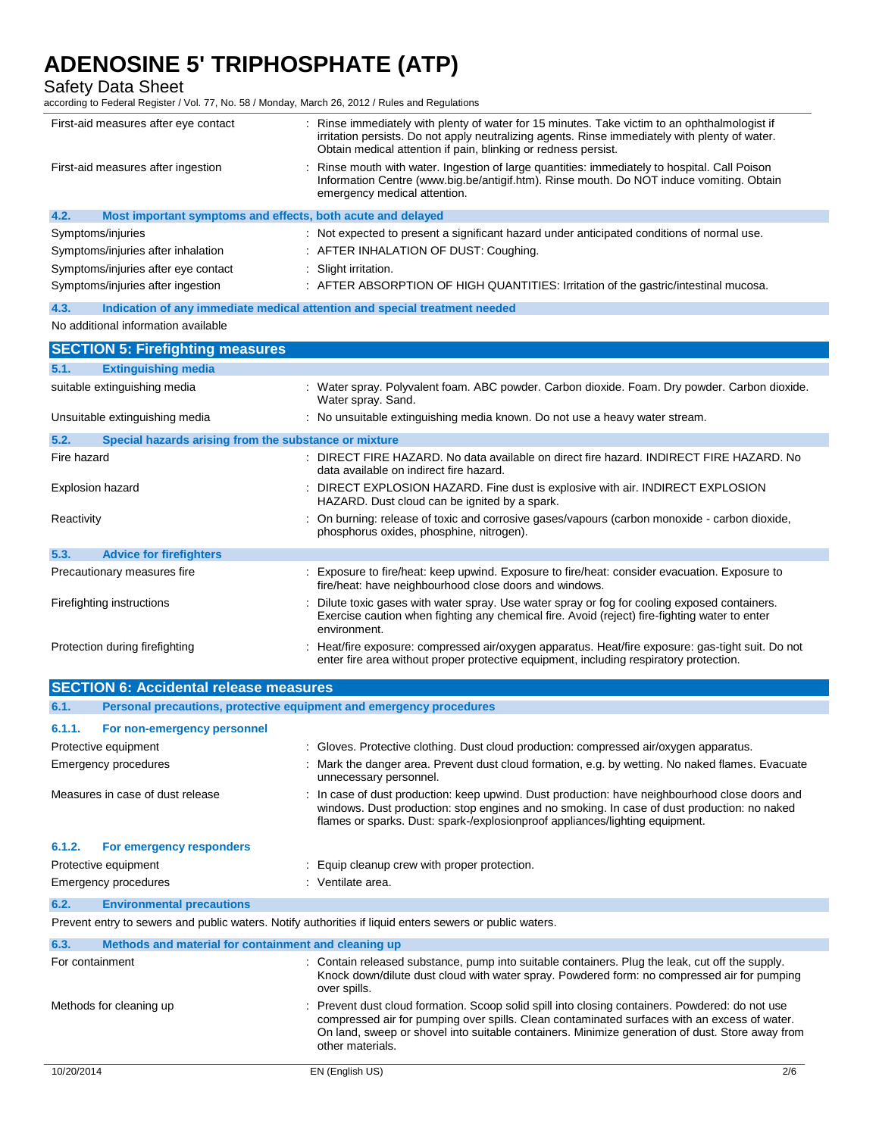Safety Data Sheet

according to Federal Register / Vol. 77, No. 58 / Monday, March 26, 2012 / Rules and Regulations

| First-aid measures after eye contact                                | : Rinse immediately with plenty of water for 15 minutes. Take victim to an ophthalmologist if<br>irritation persists. Do not apply neutralizing agents. Rinse immediately with plenty of water.<br>Obtain medical attention if pain, blinking or redness persist. |  |  |
|---------------------------------------------------------------------|-------------------------------------------------------------------------------------------------------------------------------------------------------------------------------------------------------------------------------------------------------------------|--|--|
| First-aid measures after ingestion                                  | Rinse mouth with water. Ingestion of large quantities: immediately to hospital. Call Poison<br>Information Centre (www.big.be/antigif.htm). Rinse mouth. Do NOT induce vomiting. Obtain<br>emergency medical attention.                                           |  |  |
| 4.2.<br>Most important symptoms and effects, both acute and delayed |                                                                                                                                                                                                                                                                   |  |  |
| Symptoms/injuries                                                   | : Not expected to present a significant hazard under anticipated conditions of normal use.                                                                                                                                                                        |  |  |
| Symptoms/injuries after inhalation                                  | : AFTER INHALATION OF DUST: Coughing.                                                                                                                                                                                                                             |  |  |
| Symptoms/injuries after eye contact                                 | : Slight irritation.                                                                                                                                                                                                                                              |  |  |
| Symptoms/injuries after ingestion                                   | : AFTER ABSORPTION OF HIGH QUANTITIES: Irritation of the gastric/intestinal mucosa.                                                                                                                                                                               |  |  |
| 4.3.                                                                | Indication of any immediate medical attention and special treatment needed                                                                                                                                                                                        |  |  |
| No additional information available                                 |                                                                                                                                                                                                                                                                   |  |  |
| <b>SECTION 5: Firefighting measures</b>                             |                                                                                                                                                                                                                                                                   |  |  |
| <b>Extinguishing media</b><br>5.1.                                  |                                                                                                                                                                                                                                                                   |  |  |
| suitable extinguishing media                                        | : Water spray. Polyvalent foam. ABC powder. Carbon dioxide. Foam. Dry powder. Carbon dioxide.<br>Water spray. Sand.                                                                                                                                               |  |  |
| Unsuitable extinguishing media                                      | : No unsuitable extinguishing media known. Do not use a heavy water stream.                                                                                                                                                                                       |  |  |
| 5.2.<br>Special hazards arising from the substance or mixture       |                                                                                                                                                                                                                                                                   |  |  |
| Fire hazard                                                         | : DIRECT FIRE HAZARD. No data available on direct fire hazard. INDIRECT FIRE HAZARD. No<br>data available on indirect fire hazard.                                                                                                                                |  |  |
| Explosion hazard                                                    | DIRECT EXPLOSION HAZARD. Fine dust is explosive with air. INDIRECT EXPLOSION<br>HAZARD. Dust cloud can be ignited by a spark.                                                                                                                                     |  |  |
| Reactivity                                                          | : On burning: release of toxic and corrosive gases/vapours (carbon monoxide - carbon dioxide,<br>phosphorus oxides, phosphine, nitrogen).                                                                                                                         |  |  |
| 5.3.<br><b>Advice for firefighters</b>                              |                                                                                                                                                                                                                                                                   |  |  |
| Precautionary measures fire                                         | : Exposure to fire/heat: keep upwind. Exposure to fire/heat: consider evacuation. Exposure to<br>fire/heat: have neighbourhood close doors and windows.                                                                                                           |  |  |
| Firefighting instructions                                           | Dilute toxic gases with water spray. Use water spray or fog for cooling exposed containers.<br>Exercise caution when fighting any chemical fire. Avoid (reject) fire-fighting water to enter<br>environment.                                                      |  |  |
| Protection during firefighting                                      | : Heat/fire exposure: compressed air/oxygen apparatus. Heat/fire exposure: gas-tight suit. Do not<br>enter fire area without proper protective equipment, including respiratory protection.                                                                       |  |  |
| <b>SECTION 6: Accidental release measures</b>                       |                                                                                                                                                                                                                                                                   |  |  |
| 6.1.                                                                | Personal precautions, protective equipment and emergency procedures                                                                                                                                                                                               |  |  |
| 6.1.1.<br>For non-emergency personnel                               |                                                                                                                                                                                                                                                                   |  |  |
| Protective equipment                                                | : Gloves. Protective clothing. Dust cloud production: compressed air/oxygen apparatus.                                                                                                                                                                            |  |  |
| Emergency procedures                                                | Mark the danger area. Prevent dust cloud formation, e.g. by wetting. No naked flames. Evacuate<br>unnecessary personnel.                                                                                                                                          |  |  |
| Measures in case of dust release                                    | In case of dust production: keep upwind. Dust production: have neighbourhood close doors and                                                                                                                                                                      |  |  |

Protective equipment **Equip Cleanup crew with proper protection**. Emergency procedures in the set of the set of the Senate area.

**6.2. Environmental precautions**

**6.1.2. For emergency responders**

Prevent entry to sewers and public waters. Notify authorities if liquid enters sewers or public waters.

| Methods and material for containment and cleaning up<br>6.3. |                                                                                                                                                                                                                                                                                                                        |     |
|--------------------------------------------------------------|------------------------------------------------------------------------------------------------------------------------------------------------------------------------------------------------------------------------------------------------------------------------------------------------------------------------|-----|
| For containment                                              | : Contain released substance, pump into suitable containers. Plug the leak, cut off the supply.<br>Knock down/dilute dust cloud with water spray. Powdered form: no compressed air for pumping<br>over spills.                                                                                                         |     |
| Methods for cleaning up                                      | : Prevent dust cloud formation. Scoop solid spill into closing containers. Powdered: do not use<br>compressed air for pumping over spills. Clean contaminated surfaces with an excess of water.<br>On land, sweep or shovel into suitable containers. Minimize generation of dust. Store away from<br>other materials. |     |
| 10/20/2014                                                   | EN (English US)                                                                                                                                                                                                                                                                                                        | 2/6 |

windows. Dust production: stop engines and no smoking. In case of dust production: no naked

flames or sparks. Dust: spark-/explosionproof appliances/lighting equipment.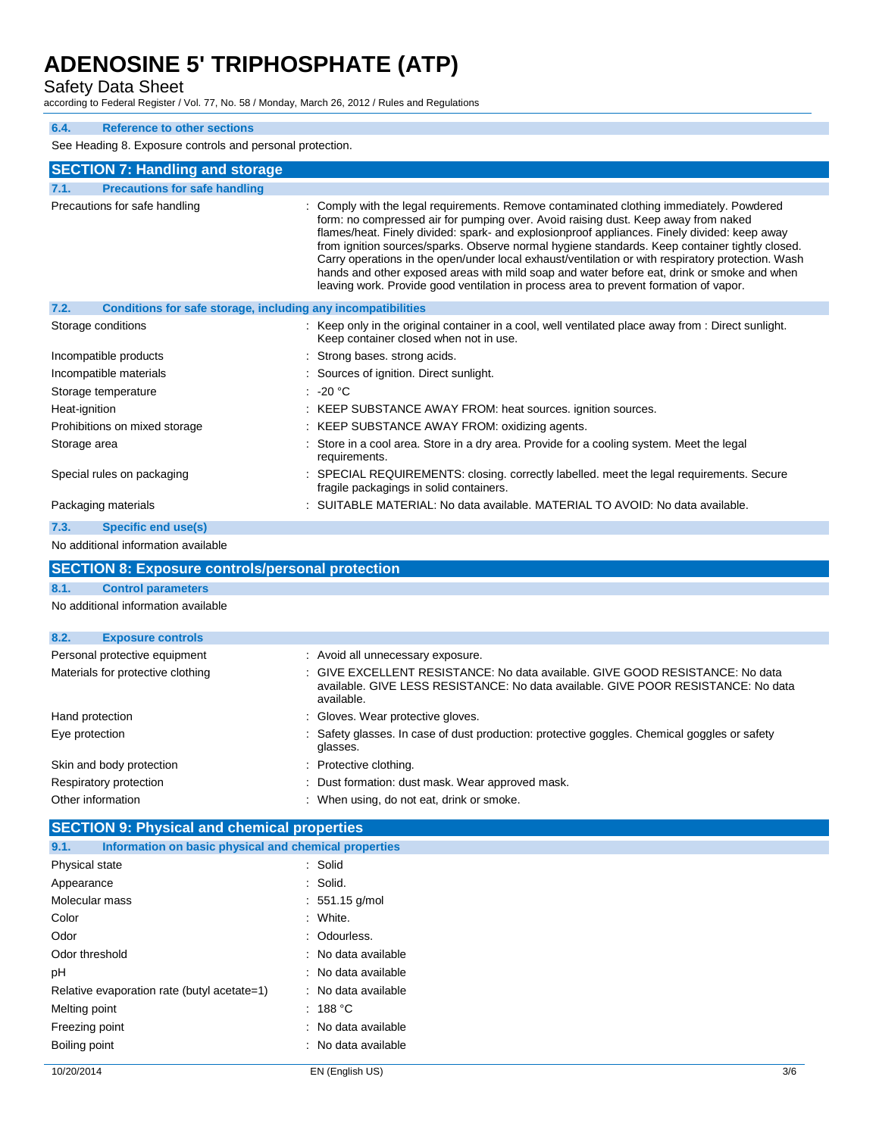## Safety Data Sheet

according to Federal Register / Vol. 77, No. 58 / Monday, March 26, 2012 / Rules and Regulations

## **6.4. Reference to other sections**

See Heading 8. Exposure controls and personal protection.

| See Heading 8. Exposure controls and personal protection.            |                                                                                                                                                                                                                                                                                                                                                                                                                                                                                                                                                                                                                                                                              |  |
|----------------------------------------------------------------------|------------------------------------------------------------------------------------------------------------------------------------------------------------------------------------------------------------------------------------------------------------------------------------------------------------------------------------------------------------------------------------------------------------------------------------------------------------------------------------------------------------------------------------------------------------------------------------------------------------------------------------------------------------------------------|--|
| <b>SECTION 7: Handling and storage</b>                               |                                                                                                                                                                                                                                                                                                                                                                                                                                                                                                                                                                                                                                                                              |  |
| <b>Precautions for safe handling</b><br>7.1.                         |                                                                                                                                                                                                                                                                                                                                                                                                                                                                                                                                                                                                                                                                              |  |
| Precautions for safe handling                                        | : Comply with the legal requirements. Remove contaminated clothing immediately. Powdered<br>form: no compressed air for pumping over. Avoid raising dust. Keep away from naked<br>flames/heat. Finely divided: spark- and explosionproof appliances. Finely divided: keep away<br>from ignition sources/sparks. Observe normal hygiene standards. Keep container tightly closed.<br>Carry operations in the open/under local exhaust/ventilation or with respiratory protection. Wash<br>hands and other exposed areas with mild soap and water before eat, drink or smoke and when<br>leaving work. Provide good ventilation in process area to prevent formation of vapor. |  |
| Conditions for safe storage, including any incompatibilities<br>7.2. |                                                                                                                                                                                                                                                                                                                                                                                                                                                                                                                                                                                                                                                                              |  |
| Storage conditions                                                   | : Keep only in the original container in a cool, well ventilated place away from : Direct sunlight.<br>Keep container closed when not in use.                                                                                                                                                                                                                                                                                                                                                                                                                                                                                                                                |  |
| Incompatible products                                                | : Strong bases. strong acids.                                                                                                                                                                                                                                                                                                                                                                                                                                                                                                                                                                                                                                                |  |
| Incompatible materials                                               | : Sources of ignition. Direct sunlight.                                                                                                                                                                                                                                                                                                                                                                                                                                                                                                                                                                                                                                      |  |
| Storage temperature                                                  | $\therefore$ -20 °C                                                                                                                                                                                                                                                                                                                                                                                                                                                                                                                                                                                                                                                          |  |
| Heat-ignition                                                        | : KEEP SUBSTANCE AWAY FROM: heat sources. ignition sources.                                                                                                                                                                                                                                                                                                                                                                                                                                                                                                                                                                                                                  |  |
| Prohibitions on mixed storage                                        | KEEP SUBSTANCE AWAY FROM: oxidizing agents.                                                                                                                                                                                                                                                                                                                                                                                                                                                                                                                                                                                                                                  |  |
| Storage area                                                         | : Store in a cool area. Store in a dry area. Provide for a cooling system. Meet the legal<br>requirements.                                                                                                                                                                                                                                                                                                                                                                                                                                                                                                                                                                   |  |
| Special rules on packaging                                           | : SPECIAL REQUIREMENTS: closing. correctly labelled. meet the legal requirements. Secure<br>fragile packagings in solid containers.                                                                                                                                                                                                                                                                                                                                                                                                                                                                                                                                          |  |
| Packaging materials                                                  | : SUITABLE MATERIAL: No data available. MATERIAL TO AVOID: No data available.                                                                                                                                                                                                                                                                                                                                                                                                                                                                                                                                                                                                |  |
| 7.3.<br><b>Specific end use(s)</b>                                   |                                                                                                                                                                                                                                                                                                                                                                                                                                                                                                                                                                                                                                                                              |  |
| No additional information available                                  |                                                                                                                                                                                                                                                                                                                                                                                                                                                                                                                                                                                                                                                                              |  |
| <b>SECTION 8: Exposure controls/personal protection</b>              |                                                                                                                                                                                                                                                                                                                                                                                                                                                                                                                                                                                                                                                                              |  |
| <b>Control parameters</b><br>8.1.                                    |                                                                                                                                                                                                                                                                                                                                                                                                                                                                                                                                                                                                                                                                              |  |
| No additional information available                                  |                                                                                                                                                                                                                                                                                                                                                                                                                                                                                                                                                                                                                                                                              |  |
| 8.2.<br><b>Exposure controls</b>                                     |                                                                                                                                                                                                                                                                                                                                                                                                                                                                                                                                                                                                                                                                              |  |
| Personal protective equipment                                        | : Avoid all unnecessary exposure.                                                                                                                                                                                                                                                                                                                                                                                                                                                                                                                                                                                                                                            |  |
| Materials for protective clothing                                    | : GIVE EXCELLENT RESISTANCE: No data available. GIVE GOOD RESISTANCE: No data<br>available. GIVE LESS RESISTANCE: No data available. GIVE POOR RESISTANCE: No data<br>available.                                                                                                                                                                                                                                                                                                                                                                                                                                                                                             |  |
| Hand protection                                                      | : Gloves. Wear protective gloves.                                                                                                                                                                                                                                                                                                                                                                                                                                                                                                                                                                                                                                            |  |
| Eye protection                                                       | : Safety glasses. In case of dust production: protective goggles. Chemical goggles or safety<br>glasses.                                                                                                                                                                                                                                                                                                                                                                                                                                                                                                                                                                     |  |
| Skin and body protection                                             | : Protective clothing.                                                                                                                                                                                                                                                                                                                                                                                                                                                                                                                                                                                                                                                       |  |
| Respiratory protection                                               | Dust formation: dust mask. Wear approved mask.                                                                                                                                                                                                                                                                                                                                                                                                                                                                                                                                                                                                                               |  |
| Other information                                                    | : When using, do not eat, drink or smoke.                                                                                                                                                                                                                                                                                                                                                                                                                                                                                                                                                                                                                                    |  |
| <b>SECTION 9: Physical and chemical properties</b>                   |                                                                                                                                                                                                                                                                                                                                                                                                                                                                                                                                                                                                                                                                              |  |
| Information on basic physical and chemical properties<br>9.1.        |                                                                                                                                                                                                                                                                                                                                                                                                                                                                                                                                                                                                                                                                              |  |
| Physical state                                                       | : Solid                                                                                                                                                                                                                                                                                                                                                                                                                                                                                                                                                                                                                                                                      |  |
| Appearance                                                           | : Solid.                                                                                                                                                                                                                                                                                                                                                                                                                                                                                                                                                                                                                                                                     |  |
| Molecular mass                                                       | $: 551.15$ g/mol                                                                                                                                                                                                                                                                                                                                                                                                                                                                                                                                                                                                                                                             |  |
| Color                                                                | : White.                                                                                                                                                                                                                                                                                                                                                                                                                                                                                                                                                                                                                                                                     |  |
| Odor                                                                 | : Odourless.                                                                                                                                                                                                                                                                                                                                                                                                                                                                                                                                                                                                                                                                 |  |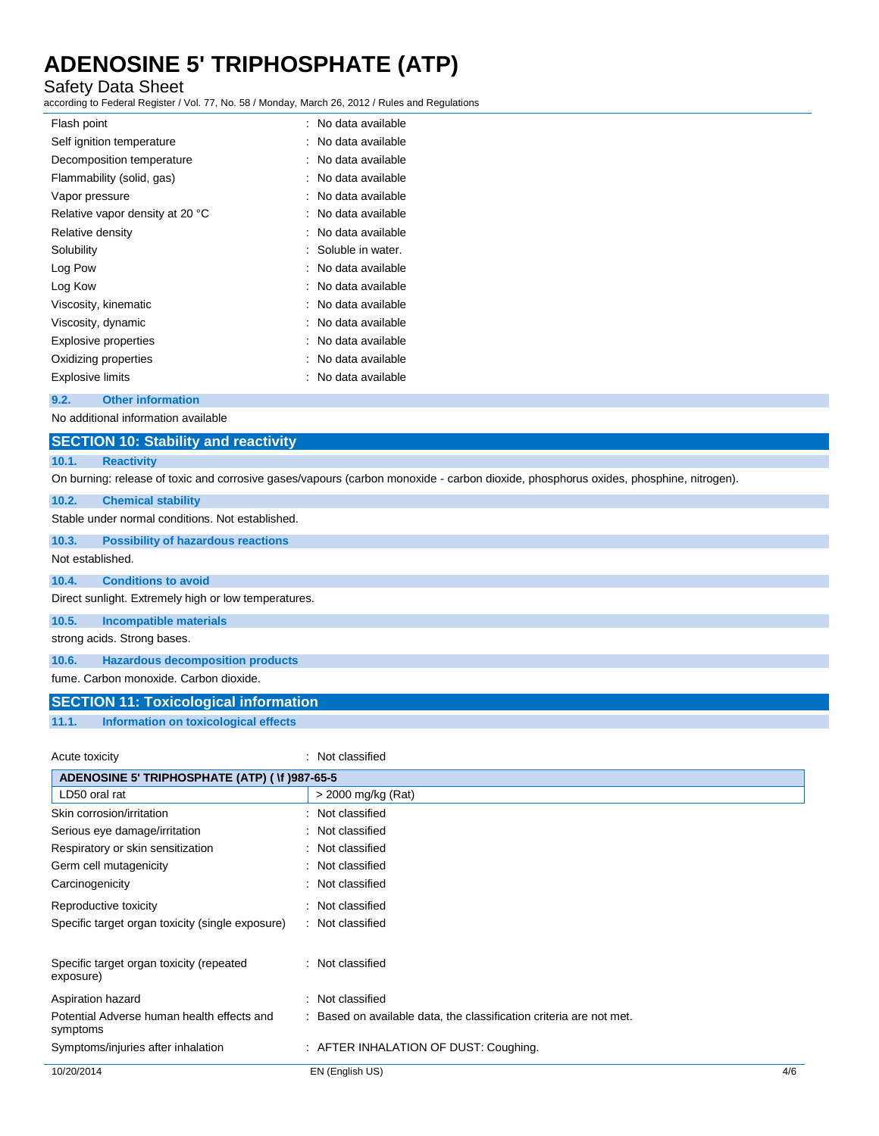## Safety Data Sheet

according to Federal Register / Vol. 77, No. 58 / Monday, March 26, 2012 / Rules and Regulations

| Flash point                     | No data available |
|---------------------------------|-------------------|
| Self ignition temperature       | No data available |
| Decomposition temperature       | No data available |
| Flammability (solid, gas)       | No data available |
| Vapor pressure                  | No data available |
| Relative vapor density at 20 °C | No data available |
| Relative density                | No data available |
| Solubility                      | Soluble in water. |
| Log Pow                         | No data available |
| Log Kow                         | No data available |
| Viscosity, kinematic            | No data available |
| Viscosity, dynamic              | No data available |
| <b>Explosive properties</b>     | No data available |
| Oxidizing properties            | No data available |
| <b>Explosive limits</b>         | No data available |

### **9.2. Other information**

No additional information available

## **10.1. Reactivity**

On burning: release of toxic and corrosive gases/vapours (carbon monoxide - carbon dioxide, phosphorus oxides, phosphine, nitrogen).

### **10.2. Chemical stability**

Stable under normal conditions. Not established.

**10.3. Possibility of hazardous reactions**

### Not established.

### **10.4. Conditions to avoid**

Direct sunlight. Extremely high or low temperatures.

#### **10.5. Incompatible materials**

strong acids. Strong bases.

## **10.6. Hazardous decomposition products**

fume. Carbon monoxide. Carbon dioxide.

## **SECTION 11: Toxicological information**

### **11.1. Information on toxicological effects**

#### Acute toxicity in the contract of the classified in the classified in the classified in the classified in the classified in the classified in the classified in the classified in the classified in the classified in the clas

| ADENOSINE 5' TRIPHOSPHATE (ATP) (\f )987-65-5          |                                                                     |     |
|--------------------------------------------------------|---------------------------------------------------------------------|-----|
| LD50 oral rat                                          | > 2000 mg/kg (Rat)                                                  |     |
| Skin corrosion/irritation                              | : Not classified                                                    |     |
| Serious eye damage/irritation                          | : Not classified                                                    |     |
| Respiratory or skin sensitization                      | : Not classified                                                    |     |
| Germ cell mutagenicity                                 | : Not classified                                                    |     |
| Carcinogenicity                                        | : Not classified                                                    |     |
| Reproductive toxicity                                  | : Not classified                                                    |     |
| Specific target organ toxicity (single exposure)       | : Not classified                                                    |     |
| Specific target organ toxicity (repeated<br>exposure)  | : Not classified                                                    |     |
| Aspiration hazard                                      | Not classified<br>÷                                                 |     |
| Potential Adverse human health effects and<br>symptoms | : Based on available data, the classification criteria are not met. |     |
| Symptoms/injuries after inhalation                     | : AFTER INHALATION OF DUST: Coughing.                               |     |
| 10/20/2014                                             | EN (English US)                                                     | 4/6 |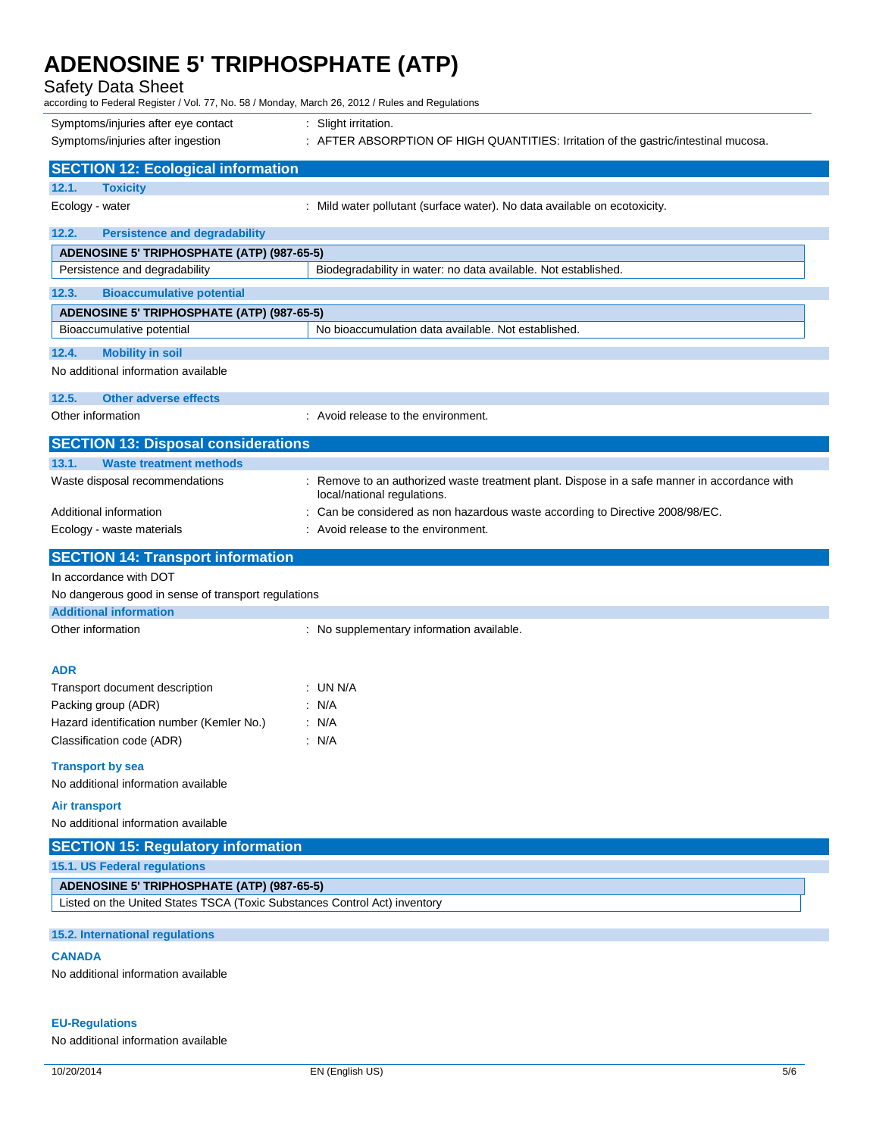## Safety Data Sheet

| according to Federal Register / Vol. 77, No. 58 / Monday, March 26, 2012 / Rules and Regulations |                                                                                                                             |
|--------------------------------------------------------------------------------------------------|-----------------------------------------------------------------------------------------------------------------------------|
| Symptoms/injuries after eye contact                                                              | : Slight irritation.                                                                                                        |
| Symptoms/injuries after ingestion                                                                | : AFTER ABSORPTION OF HIGH QUANTITIES: Irritation of the gastric/intestinal mucosa.                                         |
|                                                                                                  |                                                                                                                             |
| <b>SECTION 12: Ecological information</b>                                                        |                                                                                                                             |
| 12.1.<br><b>Toxicity</b><br>Ecology - water                                                      | : Mild water pollutant (surface water). No data available on ecotoxicity.                                                   |
|                                                                                                  |                                                                                                                             |
| 12.2.<br><b>Persistence and degradability</b>                                                    |                                                                                                                             |
| ADENOSINE 5' TRIPHOSPHATE (ATP) (987-65-5)                                                       |                                                                                                                             |
| Persistence and degradability                                                                    | Biodegradability in water: no data available. Not established.                                                              |
| 12.3.<br><b>Bioaccumulative potential</b>                                                        |                                                                                                                             |
| <b>ADENOSINE 5' TRIPHOSPHATE (ATP) (987-65-5)</b>                                                |                                                                                                                             |
| Bioaccumulative potential                                                                        | No bioaccumulation data available. Not established.                                                                         |
| 12.4.<br><b>Mobility in soil</b>                                                                 |                                                                                                                             |
| No additional information available                                                              |                                                                                                                             |
|                                                                                                  |                                                                                                                             |
| 12.5.<br><b>Other adverse effects</b>                                                            |                                                                                                                             |
| Other information                                                                                | : Avoid release to the environment.                                                                                         |
| <b>SECTION 13: Disposal considerations</b>                                                       |                                                                                                                             |
| 13.1.<br><b>Waste treatment methods</b>                                                          |                                                                                                                             |
| Waste disposal recommendations                                                                   | : Remove to an authorized waste treatment plant. Dispose in a safe manner in accordance with<br>local/national regulations. |
| Additional information                                                                           | : Can be considered as non hazardous waste according to Directive 2008/98/EC.                                               |
| Ecology - waste materials                                                                        | : Avoid release to the environment.                                                                                         |
|                                                                                                  |                                                                                                                             |
|                                                                                                  |                                                                                                                             |
| <b>SECTION 14: Transport information</b>                                                         |                                                                                                                             |
| In accordance with DOT                                                                           |                                                                                                                             |
| No dangerous good in sense of transport regulations                                              |                                                                                                                             |
| <b>Additional information</b><br>Other information                                               |                                                                                                                             |
|                                                                                                  | : No supplementary information available.                                                                                   |
|                                                                                                  |                                                                                                                             |
| ADR                                                                                              |                                                                                                                             |
| Transport document description                                                                   | : UN N/A                                                                                                                    |
| Packing group (ADR)<br>Hazard identification number (Kemler No.)                                 | : $N/A$<br>$\therefore$ N/A                                                                                                 |
| Classification code (ADR)                                                                        | : N/A                                                                                                                       |
|                                                                                                  |                                                                                                                             |
| <b>Transport by sea</b>                                                                          |                                                                                                                             |
| No additional information available                                                              |                                                                                                                             |
| Air transport                                                                                    |                                                                                                                             |
| No additional information available                                                              |                                                                                                                             |
| <b>SECTION 15: Regulatory information</b>                                                        |                                                                                                                             |
| 15.1. US Federal regulations                                                                     |                                                                                                                             |
| ADENOSINE 5' TRIPHOSPHATE (ATP) (987-65-5)                                                       |                                                                                                                             |
| Listed on the United States TSCA (Toxic Substances Control Act) inventory                        |                                                                                                                             |
| 15.2. International regulations                                                                  |                                                                                                                             |
| <b>CANADA</b>                                                                                    |                                                                                                                             |
| No additional information available                                                              |                                                                                                                             |

## **EU-Regulations**

No additional information available